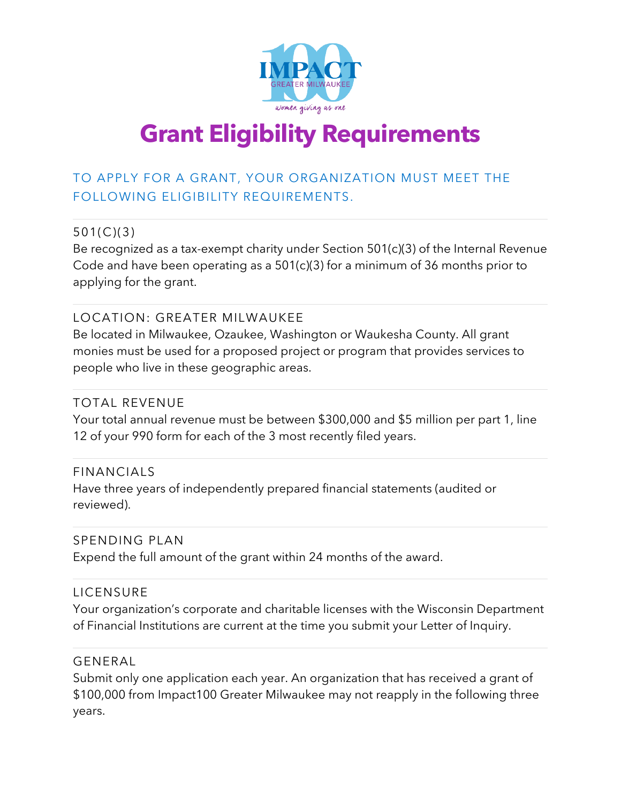

# **Grant Eligibility Requirements**

# TO APPLY FOR A GRANT, YOUR ORGANIZATION MUST MEET THE FOLLOWING ELIGIBILITY REQUIREMENTS.

# 501(C)(3)

Be recognized as a tax-exempt charity under Section 501(c)(3) of the Internal Revenue Code and have been operating as a 501(c)(3) for a minimum of 36 months prior to applying for the grant.

## LOCATION: GREATER MILWAUKEE

Be located in Milwaukee, Ozaukee, Washington or Waukesha County. All grant monies must be used for a proposed project or program that provides services to people who live in these geographic areas.

## TOTAL REVENUE

Your total annual revenue must be between \$300,000 and \$5 million per part 1, line 12 of your 990 form for each of the 3 most recently filed years.

#### FINANCIALS

Have three years of independently prepared financial statements (audited or reviewed).

#### SPENDING PLAN

Expend the full amount of the grant within 24 months of the award.

## LICENSURE

Your organization's corporate and charitable licenses with the Wisconsin Department of Financial Institutions are current at the time you submit your Letter of Inquiry.

#### GENERAL

Submit only one application each year. An organization that has received a grant of \$100,000 from Impact100 Greater Milwaukee may not reapply in the following three years.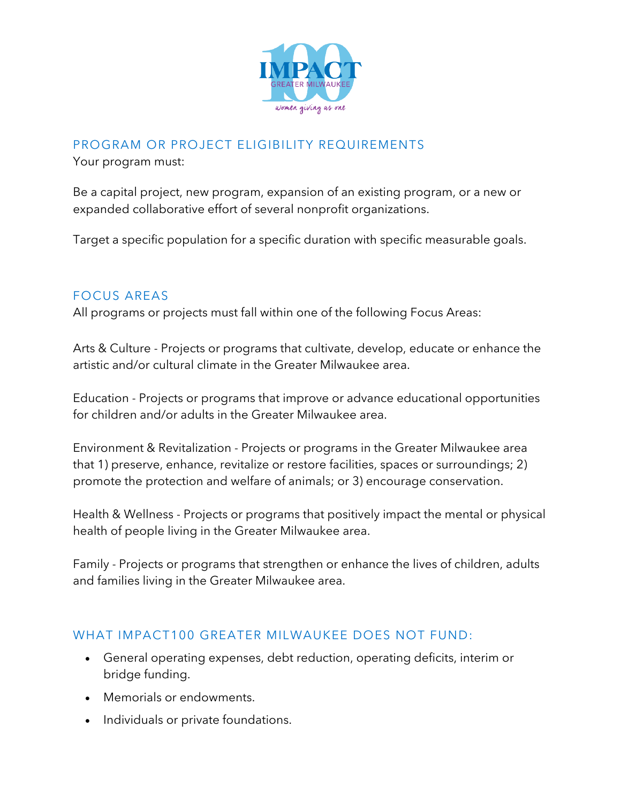

# PROGRAM OR PROJECT ELIGIBILITY REQUIREMENTS

Your program must:

Be a capital project, new program, expansion of an existing program, or a new or expanded collaborative effort of several nonprofit organizations.

Target a specific population for a specific duration with specific measurable goals.

# FOCUS AREAS

All programs or projects must fall within one of the following Focus Areas:

Arts & Culture - Projects or programs that cultivate, develop, educate or enhance the artistic and/or cultural climate in the Greater Milwaukee area.

Education - Projects or programs that improve or advance educational opportunities for children and/or adults in the Greater Milwaukee area.

Environment & Revitalization - Projects or programs in the Greater Milwaukee area that 1) preserve, enhance, revitalize or restore facilities, spaces or surroundings; 2) promote the protection and welfare of animals; or 3) encourage conservation.

Health & Wellness - Projects or programs that positively impact the mental or physical health of people living in the Greater Milwaukee area.

Family - Projects or programs that strengthen or enhance the lives of children, adults and families living in the Greater Milwaukee area.

## WHAT IMPACT100 GREATER MILWAUKEE DOES NOT FUND:

- General operating expenses, debt reduction, operating deficits, interim or bridge funding.
- Memorials or endowments.
- Individuals or private foundations.